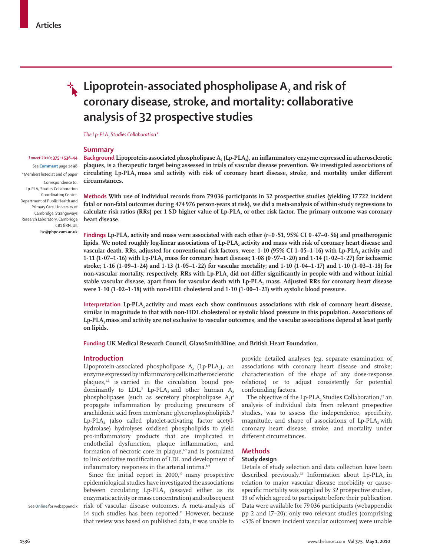*Lancet* **2010; 375: 1536–44**  See **Comment** page 1498 \*Members listed at end of paper

Lp-PLA2 Studies Collaboration Coordinating Centre, Department of Public Health and Primary Care, University of Cambridge, Strangeways Research Laboratory, Cambridge

> CB1 8RN, UK **lsc@phpc.cam.ac.uk**



# **Lipoprotein-associated phospholipase A<sub>2</sub> and risk of coronary disease, stroke, and mortality: collaborative analysis of 32 prospective studies**

*The Lp-PLA2 Studies Collaboration\**

## **Summary**

Correspondence to: **Background Lipoprotein-associated phospholipase A<sub>2</sub> (Lp-PLA<sub>2</sub>), an inflammatory enzyme expressed in atherosclerotic plaques, is a therapeutic target being assessed in trials of vascular disease prevention. We investigated associations of**  circulating Lp-PLA<sub>2</sub> mass and activity with risk of coronary heart disease, stroke, and mortality under different **circumstances.**

> **Methods With use of individual records from 79 036 participants in 32 prospective studies (yielding 17 722 incident fatal or non-fatal outcomes during 474 976 person-years at risk), we did a meta-analysis of within-study regressions to**  calculate risk ratios (RRs) per 1 SD higher value of Lp-PLA, or other risk factor. The primary outcome was coronary **heart disease.**

> **Findings** Lp-PLA, activity and mass were associated with each other  $(r=0.51, 95\% \text{ CI } 0.47-0.56)$  and proatherogenic lipids. We noted roughly log-linear associations of Lp-PLA, activity and mass with risk of coronary heart disease and vascular death. RRs, adjusted for conventional risk factors, were: 1·10 (95% CI 1·05–1·16) with Lp-PLA, activity and **1·11 (1·07–1·16) with Lp-PLA2 mass for coronary heart disease; 1·08 (0·97–1·20) and 1·14 (1·02–1·27) for ischaemic stroke; 1·16 (1·09–1·24) and 1·13 (1·05–1·22) for vascular mortality; and 1·10 (1·04–1·17) and 1·10 (1·03–1·18) for**  non-vascular mortality, respectively. RRs with Lp-PLA<sub>2</sub> did not differ significantly in people with and without initial stable vascular disease, apart from for vascular death with Lp-PLA<sub>2</sub> mass. Adjusted RRs for coronary heart disease **were 1·10 (1·02–1·18) with non-HDL cholesterol and 1·10 (1·00–1·21) with systolic blood pressure.**

> **Interpretation** Lp-PLA, activity and mass each show continuous associations with risk of coronary heart disease, **similar in magnitude to that with non-HDL cholesterol or systolic blood pressure in this population. Associations of**  Lp-PLA<sub>2</sub> mass and activity are not exclusive to vascular outcomes, and the vascular associations depend at least partly **on lipids.**

**Funding UK Medical Research Council, GlaxoSmithKline, and British Heart Foundation.** 

## **Introduction**

Lipoprotein-associated phospholipase  $A_2$  (Lp-PLA<sub>2</sub>), an enzyme expressed by inflammatory cells in atherosclerotic plaques,<sup>12</sup> is carried in the circulation bound predominantly to  $LDL$ <sup>3</sup> Lp-PLA<sub>2</sub> and other human  $A_2$ phospholipases (such as secretory phospholipase A<sub>2</sub>)<sup>4</sup> propagate inflammation by producing precursors of arachidonic acid from membrane glycerophospholipids.<sup>5</sup> Lp-PLA<sub>2</sub> (also called platelet-activating factor acetylhydrolase) hydrolyses oxidised phospholipids to yield pro-inflammatory products that are implicated in endothelial dysfunction, plaque inflammation, and formation of necrotic core in plaque,<sup>67</sup> and is postulated to link oxidative modification of LDL and development of inflammatory responses in the arterial intima.<sup>8,9</sup>

Since the initial report in  $2000$ ,<sup>10</sup> many prospective epidemiological studies have investigated the associations between circulating Lp-PLA, (assayed either as its enzymatic activity or mass concentration) and subsequent risk of vascular disease outcomes. A meta-analysis of 14 such studies has been reported.<sup>11</sup> However, because that review was based on published data, it was unable to

provide detailed analyses (eg, separate examination of associations with coronary heart disease and stroke; characterisation of the shape of any dose-response relations) or to adjust consistently for potential confounding factors.

The objective of the Lp-PLA, Studies Collaboration,<sup>12</sup> an analysis of individual data from relevant prospective studies, was to assess the independence, specificity, magnitude, and shape of associations of Lp-PLA<sub>2</sub> with coronary heart disease, stroke, and mortality under different circumstances.

## **Methods**

## **Study design**

Details of study selection and data collection have been described previously.<sup>12</sup> Information about Lp-PLA<sub>2</sub> in relation to major vascular disease morbidity or causespecific mortality was supplied by 32 prospective studies, 19 of which agreed to participate before their publication. Data were available for 79 036 participants (webappendix pp 2 and 17–20); only two relevant studies (comprising <5% of known incident vascular outcomes) were unable

See **Online** for webappendix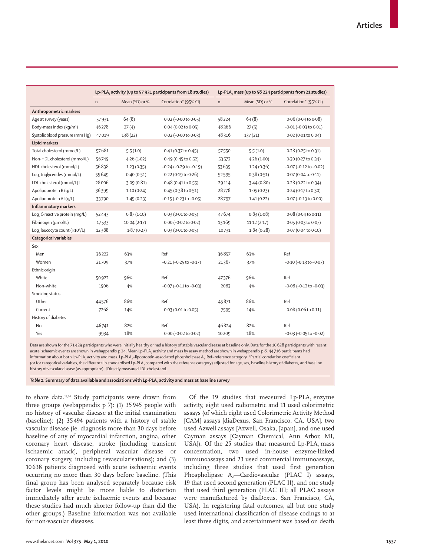|                                      | Lp-PLA, activity (up to 57 931 participants from 18 studies) |                |                                | Lp-PLA, mass (up to 58 224 participants from 21 studies) |                |                                |  |
|--------------------------------------|--------------------------------------------------------------|----------------|--------------------------------|----------------------------------------------------------|----------------|--------------------------------|--|
|                                      | $\mathsf{n}$                                                 | Mean (SD) or % | Correlation* (95% CI)          | $\mathsf{n}$                                             | Mean (SD) or % | Correlation* (95% CI)          |  |
| Anthropometric markers               |                                                              |                |                                |                                                          |                |                                |  |
| Age at survey (years)                | 57931                                                        | 64(8)          | $0.02$ (-0.00 to $0.05$ )      | 58224                                                    | 64(8)          | $0.06$ (0.04 to 0.08)          |  |
| Body-mass index (kg/m <sup>2</sup> ) | 46278                                                        | 27(4)          | $0.04$ (0.02 to 0.05)          | 48366                                                    | 27(5)          | $-0.01$ ( $-0.03$ to $0.01$ )  |  |
| Systolic blood pressure (mm Hq)      | 47019                                                        | 138 (22)       | $0.02$ (-0.00 to 0.03)         | 48316                                                    | 137 (21)       | 0.02 (0.01 to 0.04)            |  |
| <b>Lipid markers</b>                 |                                                              |                |                                |                                                          |                |                                |  |
| Total cholesterol (mmol/L)           | 57681                                                        | 5.5(1.0)       | 0.41 (0.37 to 0.45)            | 57550                                                    | 5.5(1.0)       | $0.28$ (0.25 to 0.31)          |  |
| Non-HDL cholesterol (mmol/L)         | 56749                                                        | 4.26(1.02)     | 0.49 (0.45 to 0.52)            | 53572                                                    | 4.26(1.00)     | 0.30 (0.27 to 0.34)            |  |
| HDL cholesterol (mmol/L)             | 56838                                                        | 1.23(0.35)     | $-0.24$ ( $-0.29$ to $-0.19$ ) | 53639                                                    | 1.24(0.36)     | $-0.07$ ( $-0.12$ to $-0.02$ ) |  |
| Log. triglycerides (mmol/L)          | 55649                                                        | 0.40(0.51)     | 0.22(0.19 to 0.26)             | 52595                                                    | 0.38(0.51)     | 0.07 (0.04 to 0.11)            |  |
| LDL cholesterol (mmol/L)+            | 28006                                                        | 3.09(0.81)     | 0.48 (0.41 to 0.55)            | 29114                                                    | 3.44(0.80)     | 0.28 (0.22 to 0.34)            |  |
| Apolipoprotein B (q/L)               | 36399                                                        | 1.10(0.24)     | 0.45 (0.38 to 0.51)            | 28778                                                    | 1.05(0.23)     | 0.24 (0.17 to 0.30)            |  |
| Apolipoprotein AI (q/L)              | 33790                                                        | 1.45(0.23)     | $-0.15$ ( $-0.23$ to $-0.05$ ) | 28797                                                    | 1.41(0.22)     | $-0.07$ ( $-0.13$ to $0.00$ )  |  |
| Inflammatory markers                 |                                                              |                |                                |                                                          |                |                                |  |
| Loq. C-reactive protein (mq/L)       | 52443                                                        | 0.87(1.10)     | 0.03 (0.01 to 0.05)            | 47674                                                    | 0.83(1.08)     | 0.08(0.04 to 0.11)             |  |
| Fibrinogen (µmol/L)                  | 17533                                                        | 10.04(2.17)    | 0.00 (-0.02 to 0.02)           | 13169                                                    | 11.12(2.17)    | 0.05 (0.03 to 0.07)            |  |
| Loq, leucocyte count $(x10^9/L)$     | 12388                                                        | 1.87(0.27)     | 0.03 (0.01 to 0.05)            | 10731                                                    | 1.84(0.28)     | 0.07 (0.04 to 0.10)            |  |
| <b>Categorical variables</b>         |                                                              |                |                                |                                                          |                |                                |  |
| Sex                                  |                                                              |                |                                |                                                          |                |                                |  |
| Men                                  | 36222                                                        | 63%            | Ref                            | 36857                                                    | 63%            | Ref                            |  |
| Women                                | 21709                                                        | 37%            | $-0.21$ ( $-0.25$ to $-0.17$ ) | 21367                                                    | 37%            | $-0.10$ ( $-0.13$ to $-0.07$ ) |  |
| Ethnic origin                        |                                                              |                |                                |                                                          |                |                                |  |
| White                                | 50922                                                        | 96%            | Ref                            | 47376                                                    | 96%            | Ref                            |  |
| Non-white                            | 1906                                                         | 4%             | $-0.07$ ( $-0.11$ to $-0.03$ ) | 2083                                                     | 4%             | $-0.08$ ( $-0.12$ to $-0.03$ ) |  |
| Smoking status                       |                                                              |                |                                |                                                          |                |                                |  |
| Other                                | 44576                                                        | 86%            | Ref                            | 45871                                                    | 86%            | Ref                            |  |
| Current                              | 7268                                                         | 14%            | 0.03 (0.01 to 0.05)            | 7595                                                     | 14%            | 0.08 (0.06 to 0.11)            |  |
| History of diabetes                  |                                                              |                |                                |                                                          |                |                                |  |
| <b>No</b>                            | 46741                                                        | 82%            | Ref                            | 46824                                                    | 82%            | Ref                            |  |
| Yes                                  | 9934                                                         | 18%            | 0.00 (-0.02 to 0.02)           | 10209                                                    | 18%            | $-0.03$ ( $-0.05$ to $-0.02$ ) |  |

Data are shown for the 71 439 participants who were initially healthy or had a history of stable vascular disease at baseline only. Data for the 10 638 participants with recent acute ischaemic events are shown in webappendix p 24. Mean Lp-PLA, activity and mass by assay method are shown in webappendix p 8. 44 716 participants had information about both Lp-PLA<sub>2</sub> activity and mass. Lp-PLA<sub>2</sub>=lipoprotein-associated phospholipase A<sub>2</sub>. Ref=reference category. \*Partial correlation coefficient

(or for categorical variables, the difference in standardised Lp-PLA, compared with the reference category) adjusted for age, sex, baseline history of diabetes, and baseline history of vascular disease (as appropriate). †Directly measured LDL cholesterol.

Table 1: Summary of data available and associations with Lp-PLA<sub>2</sub> activity and mass at baseline survey

to share data.<sup>13,14</sup> Study participants were drawn from three groups (webappendix p 7): (1) 35 945 people with no history of vascular disease at the initial examination (baseline); (2) 35 494 patients with a history of stable vascular disease (ie, diagnosis more than 30 days before baseline of any of myocardial infarction, angina, other coronary heart disease, stroke [including transient ischaemic attack], peripheral vascular disease, or coronary surgery, including revascularisations); and (3) 10 638 patients diagnosed with acute ischaemic events occurring no more than 30 days before baseline. (This final group has been analysed separately because risk factor levels might be more liable to distortion immediately after acute ischaemic events and because these studies had much shorter follow-up than did the other groups.) Baseline information was not available for non-vascular diseases.

Of the 19 studies that measured Lp-PLA<sub>2</sub> enzyme activity, eight used radiometric and 11 used colorimetric assays (of which eight used Colorimetric Activity Method [CAM] assays [diaDexus, San Francisco, CA, USA], two used Azwell assays [Azwell, Osaka, Japan], and one used Cayman assays [Cayman Chemical, Ann Arbor, MI, USA]). Of the 25 studies that measured Lp-PLA<sub>2</sub> mass concentration, two used in-house enzyme-linked immunoassays and 23 used commercial immunoassays, including three studies that used first generation Phospholipase  $A_2$ —Cardiovascular (PLAC I) assays, 19 that used second generation (PLAC II), and one study that used third generation (PLAC III; all PLAC assays were manufactured by diaDexus, San Francisco, CA, USA). In registering fatal outcomes, all but one study used international classification of disease codings to at least three digits, and ascertainment was based on death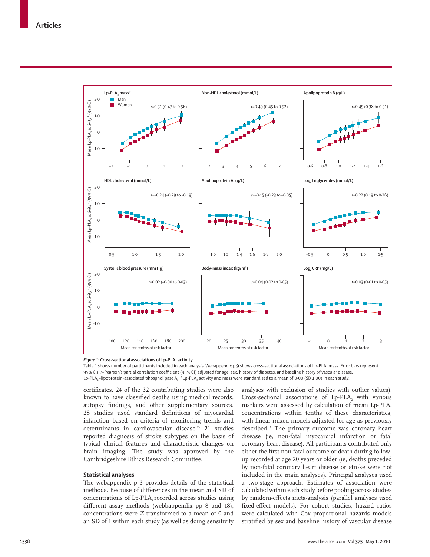

Figure 1: Cross-sectional associations of Lp-PLA<sub>2</sub> activity

Table 1 shows number of participants included in each analysis. Webappendix p 9 shows cross-sectional associations of Lp-PLA, mass. Error bars represent 95% CIs. r=Pearson's partial correlation coefficient (95% CI) adjusted for age, sex, history of diabetes, and baseline history of vascular disease. Lp-PLA<sub>2</sub>=lipoprotein-associated phospholipase A<sub>2</sub>. \*Lp-PLA<sub>2</sub> activity and mass were standardised to a mean of 0·00 (SD 1·00) in each study.

certificates. 24 of the 32 contributing studies were also known to have classified deaths using medical records, autopsy findings, and other supplementary sources. 28 studies used standard definitions of myocardial infarction based on criteria of monitoring trends and determinants in cardiovascular disease.<sup>15</sup> 21 studies reported diagnosis of stroke subtypes on the basis of typical clinical features and characteristic changes on brain imaging. The study was approved by the Cambridgeshire Ethics Research Committee.

## **Statistical analyses**

The webappendix p 3 provides details of the statistical methods. Because of differences in the mean and SD of concentrations of Lp-PLA<sub>2</sub> recorded across studies using different assay methods (webbappendix pp 8 and 18), concentrations were *Z* transformed to a mean of 0 and an SD of 1 within each study (as well as doing sensitivity

analyses with exclusion of studies with outlier values). Cross-sectional associations of Lp-PLA<sub>2</sub> with various markers were assessed by calculation of mean  $Lp$ -PLA<sub>2</sub> concentrations within tenths of these characteristics, with linear mixed models adjusted for age as previously described.<sup>16</sup> The primary outcome was coronary heart disease (ie, non-fatal myocardial infarction or fatal coronary heart disease). All participants contributed only either the first non-fatal outcome or death during followup recorded at age 20 years or older (ie, deaths preceded by non-fatal coronary heart disease or stroke were not included in the main analyses). Principal analyses used a two-stage approach. Estimates of association were calculated within each study before pooling across studies by random-effects meta-analysis (parallel analyses used fixed-effect models). For cohort studies, hazard ratios were calculated with Cox proportional hazards models stratified by sex and baseline history of vascular disease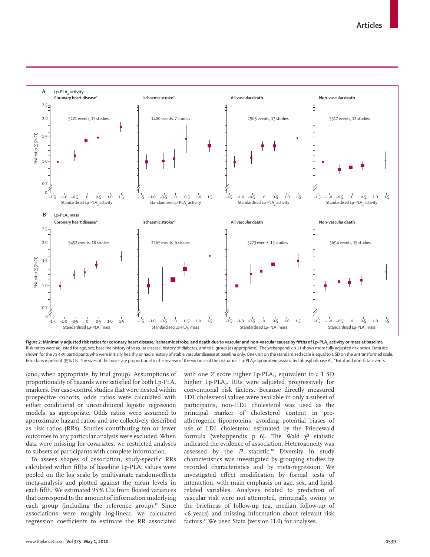

Figure 2: Minimally adjusted risk ratios for coronary heart disease, ischaemic stroke, and death due to vascular and non-vascular causes by fifths of Lp-PLA, activity or mass at baseline Risk ratios were adjusted for age, sex, baseline history of vascular disease, history of diabetes, and trial group (as appropriate). The webappendix p 11 shows more fully adjusted risk ratios. Data are shown for the 71 439 participants who were initially healthy or had a history of stable vascular disease at baseline only. One unit on the standardised scale is equal to 1 SD on the untransformed scale. Error bars represent 95% CIs. The sizes of the boxes are proportional to the inverse of the variance of the risk ratios. Lp-PLA<sub>2</sub>=lipoprotein-associated phospholipase A<sub>2</sub>. \*Fatal and non-fatal events.

(and, when appropriate, by trial group). Assumptions of proportionality of hazards were satisfied for both Lp-PLA, markers. For case-control studies that were nested within prospective cohorts, odds ratios were calculated with either conditional or unconditional logistic regression models, as appropriate. Odds ratios were assumed to approximate hazard ratios and are collectively described as risk ratios (RRs). Studies contributing ten or fewer outcomes to any particular analysis were excluded. When data were missing for covariates, we restricted analyses to subsets of participants with complete information.

To assess shapes of association, study-specific RRs calculated within fifths of baseline Lp-PLA, values were pooled on the log scale by multivariate random-effects meta-analysis and plotted against the mean levels in each fifth. We estimated 95% CIs from floated variances that correspond to the amount of information underlying each group (including the reference group). $17$  Since associations were roughly log-linear, we calculated regression coefficients to estimate the RR associated

with one *Z* score higher Lp-PLA<sub>2</sub>, equivalent to a 1 SD higher Lp-PLA<sub>2</sub>. RRs were adjusted progressively for conventional risk factors. Because directly measured LDL cholesterol values were available in only a subset of participants, non-HDL cholesterol was used as the principal marker of cholesterol content in proatherogenic lipoproteins, avoiding potential biases of use of LDL cholesterol estimated by the Friedewald formula (webappendix p 6). The Wald  $\chi^2$  statistic indicated the evidence of association. Heterogeneity was assessed by the  $I<sup>2</sup>$  statistic.<sup>18</sup> Diversity in study characteristics was investigated by grouping studies by recorded characteristics and by meta-regression. We investigated effect modification by formal tests of interaction, with main emphasis on age, sex, and lipidrelated variables. Analyses related to prediction of vascular risk were not attempted, principally owing to the briefness of follow-up (eg, median follow-up of <6 years) and missing information about relevant risk factors.19 We used Stata (version 11.0) for analyses.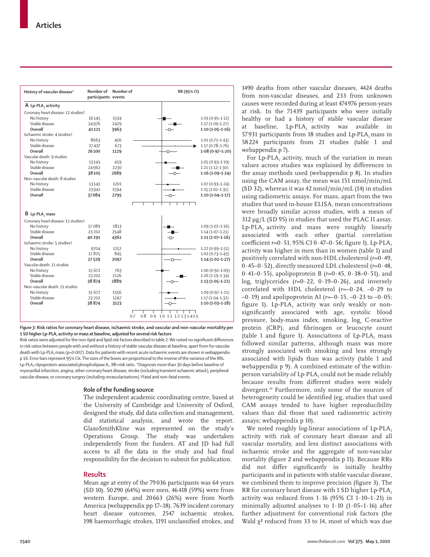| History of vascular disease*        | Number of<br>participants events | Number of | RR (95% CI)                            |                     |  |  |
|-------------------------------------|----------------------------------|-----------|----------------------------------------|---------------------|--|--|
| A Lp-PLA, activity                  |                                  |           |                                        |                     |  |  |
| Coronary heart disease: 12 studiest |                                  |           |                                        |                     |  |  |
| No history                          | 16145                            | 1534      |                                        | $1.03(0.95 - 1.12)$ |  |  |
| Stable disease                      | 24976                            | 2429      |                                        | $1.17(1.09 - 1.27)$ |  |  |
| Overall                             | 41121                            | 3963      | ᢕ                                      | $1.10(1.05 - 1.16)$ |  |  |
| Ischaemic stroke: 4 studiest        |                                  |           |                                        |                     |  |  |
| No history                          | 8663                             | 456       |                                        | $1.01(0.71 - 1.43)$ |  |  |
| Stable disease                      | 17437                            | 673       |                                        | $1.17(0.78-1.76)$   |  |  |
| Overall                             | 26100                            | 1129      |                                        | $1.08(0.97 - 1.20)$ |  |  |
| Vascular death: 9 studies           |                                  |           |                                        |                     |  |  |
| No history                          | 13143                            | 459       |                                        | $1.05(0.93 - 1.19)$ |  |  |
| Stable disease                      | 24962                            | 2230      |                                        | $1.21(1.12 - 1.30)$ |  |  |
| Overall                             | 38105                            | 2689      |                                        | $1.16(1.09-1.24)$   |  |  |
| Non-vascular death: 8 studies       |                                  |           |                                        |                     |  |  |
| No history                          | 13143                            | 1201      |                                        | $1.07(0.93 - 1.24)$ |  |  |
| Stable disease                      | 23941                            | 1594      |                                        | $1.15(1.02 - 1.31)$ |  |  |
| Overall                             | 37084                            | 2795      | -0-                                    | $1.10(1.04 - 1.17)$ |  |  |
|                                     |                                  |           |                                        |                     |  |  |
|                                     |                                  |           |                                        |                     |  |  |
| B Lp-PLA, mass                      |                                  |           |                                        |                     |  |  |
| Coronary heart disease: 12 studiest |                                  |           |                                        |                     |  |  |
| No history                          | 17089                            | 1813      |                                        | $1.09(1.02 - 1.16)$ |  |  |
| Stable disease                      | 23 20 2                          | 2548      |                                        | $1.14(1.07-1.21)$   |  |  |
| Overall                             | 40 291                           | 4361      | ↷                                      | $1.11(1.07 - 1.16)$ |  |  |
| Ischaemic stroke: 5 studies†        |                                  |           |                                        |                     |  |  |
| No history                          | 9704                             | 1252      |                                        | $1.22(0.99 - 1.51)$ |  |  |
| Stable disease                      | 17825                            | 845       |                                        | $1.02(0.73 - 1.43)$ |  |  |
| Overall                             | 27529                            | 2097      |                                        | $1.14(1.02 - 1.27)$ |  |  |
| Vascular death: 11 studies          |                                  |           |                                        |                     |  |  |
| No history                          | 15 672                           | 763       |                                        | $1.00(0.92 - 1.09)$ |  |  |
| Stable disease                      | 23 20 2                          | 2126      |                                        | $1.26(1.19-1.34)$   |  |  |
| Overall                             | 38874                            | 2889      |                                        | $1.13(1.05 - 1.22)$ |  |  |
| Non-vascular death: 11 studies      |                                  |           |                                        |                     |  |  |
| No history                          | 15 672                           | 1556      |                                        | $1.09(0.97 - 1.21)$ |  |  |
| Stable disease                      | 23 20 2                          | 1567      |                                        | $1.17(1.04-1.32)$   |  |  |
| Overall                             | 38874                            | 3123      | -0-                                    | $1.10(1.03 - 1.18)$ |  |  |
|                                     |                                  |           | 0.8 0.9 1.0 1.1 1.2 1.3 1.4 1.5<br>0.7 |                     |  |  |

*Figure 3***: Risk ratios for coronary heart disease, ischaemic stroke, and vascular and non-vascular mortality per**  1 SD higher Lp-PLA<sub>2</sub> activity or mass at baseline, adjusted for several risk factors

Risk ratios were adjusted for the non-lipid and lipid risk factors described in table 2. We noted no significant differences in risk ratios between people with and without a history of stable vascular disease at baseline, apart from for vascular death with Lp-PLA<sub>2</sub> mass (p=0·007). Data for patients with recent acute ischaemic events are shown in webappendix p 16. Error bars represent 95% CIs. The sizes of the boxes are proportional to the inverse of the variance of the RRs. Lp-PLA<sub>2</sub>=lipoprotein-associated phospholipase A<sub>2</sub>. RR=risk ratio. \*Diagnosis more than 30 days before baseline of myocardial infarction, angina, other coronary heart disease, stroke (including transient ischaemic attack), peripheral vascular disease, or coronary surgery (including revascularisations).†Fatal and non-fatal events.

## **Role of the funding source**

The independent academic coordinating centre, based at the University of Cambridge and University of Oxford, designed the study, did data collection and management, did statistical analysis, and wrote the report. GlaxoSmithKline was represented on the study's Operations Group. The study was undertaken independently from the funders. AT and JD had full access to all the data in the study and had final responsibility for the decision to submit for publication.

## **Results**

Mean age at entry of the 79 036 participants was 64 years (SD 10). 50 290 (64%) were men, 46 418 (59%) were from western Europe, and 20 663 (26%) were from North America (webappendix pp 17–18). 7639 incident coronary heart disease outcomes, 2547 ischaemic strokes, 198 haemorrhagic strokes, 1191 unclassified strokes, and

1490 deaths from other vascular diseases, 4424 deaths from non-vascular diseases, and 233 from unknown causes were recorded during at least 474 976 person-years at risk. In the 71 439 participants who were initially healthy or had a history of stable vascular disease at baseline, Lp-PLA<sub>2</sub> activity was available in 57 931 participants from 18 studies and Lp-PLA<sub>2</sub> mass in 58 224 participants from 21 studies (table 1 and webappendix p 7).

For Lp-PLA, activity, much of the variation in mean values across studies was explained by differences in the assay methods used (webappendix p 8). In studies using the CAM assay, the mean was 151 nmol/min/mL (SD 32), whereas it was 42 nmol/min/mL (14) in studies using radiometric assays. For mass, apart from the two studies that used in-house ELISA, mean concentrations were broadly similar across studies, with a mean of 312 μg/L (SD 95) in studies that used the PLAC II assay.  $Lp$ -PLA<sub>2</sub> activity and mass were roughly linearly associated with each other (partial correlation coefficient *r*=0.51, 95% CI 0.47-0.56; figure 1). Lp-PLA<sub>2</sub> activity was higher in men than in women (table 1) and positively correlated with non-HDL cholesterol (*r*=0·49, 0·45–0·52), directly measured LDL cholesterol (*r*=0·48, 0·41–0·55), apolipoprotein B (*r*=0·45, 0·38–0·51), and loge triglycerides (*r*=0·22, 0·19–0·26), and inversely correlated with HDL cholesterol (*r*=–0·24, –0·29 to  $(-0.19)$  and apolipoprotein AI ( $r=-0.15, -0.23$  to  $-0.05$ ; figure 1). Lp-PLA<sub>2</sub> activity was only weakly or nonsignificantly associated with age, systolic blood pressure, body-mass index, smoking, log<sub>e</sub> C-reactive protein (CRP), and fibrinogen or leucocyte count (table 1 and figure 1). Associations of  $L_p$ -PLA<sub>2</sub> mass followed similar patterns, although mass was more strongly associated with smoking and less strongly associated with lipids than was activity (table 1 and webappendix p 9). A combined estimate of the withinperson variability of Lp-PLA, could not be made reliably because results from different studies were widely divergent.<sup>20</sup> Furthermore, only some of the sources of heterogeneity could be identified (eg, studies that used CAM assays tended to have higher reproducibility values than did those that used radiometric activity assays; webappendix p 10).

We noted roughly log-linear associations of  $Lp$ -PLA<sub>2</sub> activity with risk of coronary heart disease and all vascular mortality, and less distinct associations with ischaemic stroke and the aggregate of non-vascular mortality (figure 2 and webappendix p 11). Because RRs did not differ significantly in initially healthy participants and in patients with stable vascular disease, we combined them to improve precision (figure 3). The RR for coronary heart disease with 1 SD higher Lp-PLA, activity was reduced from  $1.16$  (95% CI  $1.10-1.21$ ) in minimally adjusted analyses to  $1.10$  ( $1.05-1.16$ ) after further adjustment for conventional risk factors (the Wald  $\chi^2$  reduced from 33 to 14, most of which was due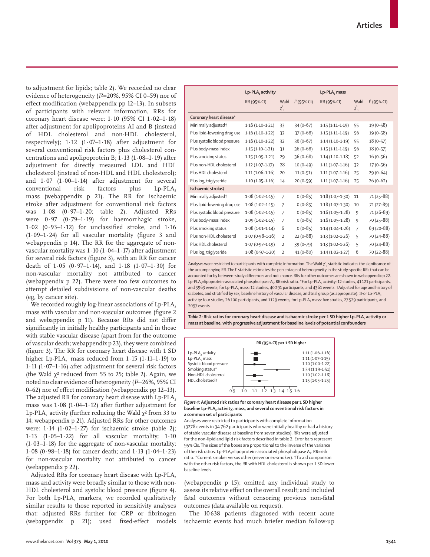to adjustment for lipids; table 2). We recorded no clear evidence of heterogeneity (*I*²=20%, 95% CI 0–59) nor of effect modification (webappendix pp 12-13). In subsets of participants with relevant information, RRs for coronary heart disease were: 1·10 (95% CI 1·02–1·18) after adjustment for apolipoproteins AI and B (instead of HDL cholesterol and non-HDL cholesterol, respectively); 1·12 (1·07–1·18) after adjustment for several conventional risk factors plus cholesterol concentrations and apolipoprotein B;  $1.13$  ( $1.08-1.19$ ) after adjustment for directly measured LDL and HDL cholesterol (instead of non-HDL and HDL cholesterol); and 1·07 (1·00–1·14) after adjustment for several conventional risk factors plus Lp-PLA<sub>2</sub> mass (webappendix p 21). The RR for ischaemic stroke after adjustment for conventional risk factors was 1·08 (0·97–1·20; table 2). Adjusted RRs were 0·97 (0·79–1·19) for haemorrhagic stroke,  $1.02$  (0.93-1.12) for unclassified stroke, and  $1.16$  $(1.09-1.24)$  for all vascular mortality (figure 3 and webappendix p 14). The RR for the aggregate of nonvascular mortality was  $1.10$  ( $1.04-1.17$ ) after adjustment for several risk factors (figure 3), with an RR for cancer death of  $1.05$  (0.97-1.14), and  $1.18$  (1.07-1.30) for non-vascular mortality not attributed to cancer (webappendix p 22). There were too few outcomes to attempt detailed subdivisions of non-vascular deaths (eg, by cancer site).

We recorded roughly log-linear associations of Lp-PLA, mass with vascular and non-vascular outcomes (figure 2 and webappendix p 11). Because RRs did not differ significantly in initially healthy participants and in those with stable vascular disease (apart from for the outcome of vascular death; webappendix p 23), they were combined (figure 3). The RR for coronary heart disease with 1 SD higher Lp-PLA<sub>2</sub> mass reduced from  $1.15$  ( $1.11-1.19$ ) to 1·11 (1·07–1·16) after adjustment for several risk factors (the Wald  $\chi^2$  reduced from 55 to 25; table 2). Again, we noted no clear evidence of heterogeneity (*I*²=26%, 95% CI 0–62) nor of effect modification (webappendix pp 12–13). The adjusted RR for coronary heart disease with Lp-PLA, mass was 1·08 (1·04–1·12) after further adjustment for Lp-PLA<sub>2</sub> activity (further reducing the Wald  $\chi^2$  from 33 to 14; webappendix p 21). Adjusted RRs for other outcomes were:  $1.14$  ( $1.02-1.27$ ) for ischaemic stroke (table 2); 1·13 (1·05–1·22) for all vascular mortality; 1·10  $(1.03-1.18)$  for the aggregate of non-vascular mortality; 1·08 (0·98–1·18) for cancer death; and 1·13 (1·04–1·23) for non-vascular mortality not attributed to cancer (webappendix p 22).

Adjusted RRs for coronary heart disease with Lp-PLA, mass and activity were broadly similar to those with non-HDL cholesterol and systolic blood pressure (figure 4). For both Lp-PLA<sub>2</sub> markers, we recorded qualitatively similar results to those reported in sensitivity analyses that: adjusted RRs further for CRP or fibrinogen (webappendix p 21); used fixed-effect models

|                                 | Lp-PLA, activity    |                      |               | Lp-PLA, mass        |                      |               |
|---------------------------------|---------------------|----------------------|---------------|---------------------|----------------------|---------------|
|                                 | RR (95% CI)         | Wald<br>$\chi^2_{1}$ | $I2$ (95% CI) | RR (95% CI)         | Wald<br>$\chi^2_{1}$ | $I2$ (95% CI) |
| Coronary heart disease*         |                     |                      |               |                     |                      |               |
| Minimally adjusted <sup>†</sup> | $1.16(1.10-1.21)$   | 33                   | $34(0-67)$    | $1.15(1.11 - 1.19)$ | 55                   | $19(0-58)$    |
| Plus lipid-lowering drug use    | $1.16(1.10-1.22)$   | 32                   | $37(0 - 68)$  | $1.15(1.11 - 1.19)$ | 56                   | 19 (0-58)     |
| Plus systolic blood pressure    | $1.16(1.10-1.22)$   | 32                   | $36(0-67)$    | $1.14(1.10-1.19)$   | 55                   | $18(0-57)$    |
| Plus body-mass index            | $1.15(1.10-1.21)$   | 31                   | $36(0-68)$    | $1.15(1.11 - 1.19)$ | 56                   | $18(0-57)$    |
| Plus smoking status             | $1.15(1.09 - 1.21)$ | 29                   | $36(0-68)$    | $1.14(1.10-1.18)$   | 52                   | $16(0-56)$    |
| Plus non-HDL cholesterol        | $1.12(1.07 - 1.17)$ | 28                   | $10(0-49)$    | $1.11(1.07-1.16)$   | 32                   | $17(0-56)$    |
| Plus HDL cholesterol            | $1.11(1.06 - 1.16)$ | 20                   | $11(0-51)$    | $1.11(1.07-1.16)$   | 25                   | $29(0-64)$    |
| Plus log, triglyceride          | $1.10(1.05 - 1.16)$ | 14                   | $20(0-59)$    | $1.11(1.07 - 1.16)$ | 25                   | $26(0-62)$    |
| Ischaemic stroke‡               |                     |                      |               |                     |                      |               |
| Minimally adjusted <sup>+</sup> | $1.08(1.02 - 1.15)$ | $\overline{7}$       | $0(0-85)$     | $1.18(1.07-1.30)$   | 11                   | 71 (25-88)    |
| Plus lipid-lowering drug use    | $1.08(1.02 - 1.15)$ | 7                    | $0(0-85)$     | $1.18(1.07-1.30)$   | 10                   | 71 (27-89)    |
| Plus systolic blood pressure    | $1.08(1.02 - 1.15)$ | $\overline{7}$       | $0(0-85)$     | $1.16(1.05 - 1.28)$ | 9                    | 71 (26-89)    |
| Plus body-mass index            | $1.09(1.02 - 1.15)$ | $\overline{7}$       | $0(0-85)$     | $1.16(1.05 - 1.28)$ | 9                    | 70 (25-88)    |
| Plus smoking status             | $1.08(1.01 - 1.14)$ | 6                    | $0(0-85)$     | $1.14(1.04-1.26)$   | 7                    | 69 (20-88)    |
| Plus non-HDL cholesterol        | $1.07(0.98 - 1.16)$ | $\overline{2}$       | $22(0-88)$    | $1.13(1.02 - 1.26)$ | 5                    | 70 (24-88)    |
| Plus HDL cholesterol            | $1.07(0.97 - 1.19)$ | $\overline{2}$       | $39(0 - 79)$  | $1.13(1.02 - 1.26)$ | 5                    | 70 (24-88)    |
| Plus log, triglyceride          | $1.08(0.97 - 1.20)$ | $\overline{2}$       | 41 (0-80)     | $1.14(1.02 - 1.27)$ | 6                    | 70 (22-88)    |

Analyses were restricted to participants with complete information. The Wald  $\chi^2$  statistic indicates the significance of the accompanying RR. The *I<sup>2</sup>* statistic estimates the percentage of heterogeneity in the study-specific RRs that can be accounted for by between-study differences and not chance. RRs for other outcomes are shown in webappendix p 22. Lp-PLA<sub>2</sub>=lipoprotein-associated phospholipase A<sub>2</sub>. RR=risk ratio. \*For Lp-PLA<sub>2</sub> activity: 12 studies, 41 121 participants, and 3963 events; for Lp-PLA<sub>2</sub> mass: 12 studies, 40 291 participants, and 4361 events. †Adjusted for age and history of diabetes, and stratified by sex, baseline history of vascular disease, and trial group (as appropriate). ‡For Lp-PLA<sub>2</sub> activity: four studies, 26 100 participants, and 1129 events; for Lp-PLA, mass: five studies, 27 529 participants, and 2097 events

Table 2: Risk ratios for coronary heart disease and ischaemic stroke per 1 SD higher Lp-PLA<sub>2</sub> activity or **mass at baseline, with progressive adjustment for baseline levels of potential confounders**



#### *Figure 4***: Adjusted risk ratios for coronary heart disease per 1 SD higher**  baseline Lp-PLA<sub>2</sub> activity, mass, and several conventional risk factors in **a common set of participants**

Analyses were restricted to participants with complete information (3278 events in 34 762 participants who were initially healthy or had a history of stable vascular disease at baseline from seven studies). RRs were adjusted for the non-lipid and lipid risk factors described in table 2. Error bars represent 95% CIs. The sizes of the boxes are proportional to the inverse of the variance of the risk ratios. Lp-PLA<sub>2</sub>=lipoprotein-associated phospholipase A<sub>2</sub>. RR=risk ratio. \*Current smoker versus other (never or ex-smoker). †To aid comparison with the other risk factors, the RR with HDL cholesterol is shown per 1 SD lower baseline levels.

(webappendix p 15); omitted any individual study to assess its relative effect on the overall result; and included fatal outcomes without censoring previous non-fatal outcomes (data available on request).

The 10 638 patients diagnosed with recent acute ischaemic events had much briefer median follow-up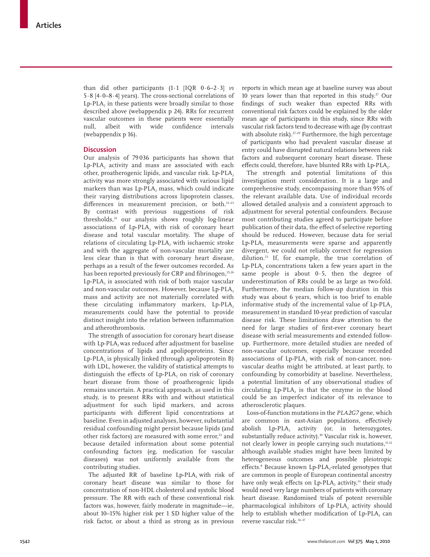than did other participants (1·1 [IQR 0·6–2·3] *vs* 5·8 [4·0–8·4] years). The cross-sectional correlations of  $Lp\text{-}\text{PLA}_2$  in these patients were broadly similar to those described above (webappendix p 24). RRs for recurrent vascular outcomes in these patients were essentially null, albeit with wide confidence intervals (webappendix p 16).

## **Discussion**

Our analysis of 79 036 participants has shown that Lp-PLA, activity and mass are associated with each other, proatherogenic lipids, and vascular risk. Lp-PLA2 activity was more strongly associated with various lipid markers than was Lp-PLA, mass, which could indicate their varying distributions across lipoprotein classes, differences in measurement precision, or both.<sup>21-23</sup> By contrast with previous suggestions of risk thresholds,24 our analysis shows roughly log-linear associations of  $Lp-PLA_2$  with risk of coronary heart disease and total vascular mortality. The shape of relations of circulating Lp-PLA<sub>2</sub> with ischaemic stroke and with the aggregate of non-vascular mortality are less clear than is that with coronary heart disease, perhaps as a result of the fewer outcomes recorded. As has been reported previously for CRP and fibrinogen,<sup>25,26</sup> Lp-PLA<sub>2</sub> is associated with risk of both major vascular and non-vascular outcomes. However, because Lp-PLA2 mass and activity are not materially correlated with these circulating inflammatory markers, Lp-PLA, measure ments could have the potential to provide distinct insight into the relation between inflammation and atherothrombosis.

The strength of association for coronary heart disease with Lp-PLA<sub>2</sub> was reduced after adjustment for baseline concentrations of lipids and apolipoproteins. Since  $Lp-PLA$ , is physically linked (through apolipoprotein B) with LDL, however, the validity of statistical attempts to distinguish the effects of Lp-PLA, on risk of coronary heart disease from those of proatherogenic lipids remains uncertain. A practical approach, as used in this study, is to present RRs with and without statistical adjustment for such lipid markers, and across participants with different lipid concentrations at baseline. Even in adjusted analyses, however, substantial residual con founding might persist because lipids (and other risk factors) are measured with some error,<sup>23</sup> and because detailed information about some potential confounding factors (eg, medication for vascular diseases) was not uniformly available from the contributing studies.

The adjusted RR of baseline Lp-PLA<sub>2</sub> with risk of coronary heart disease was similar to those for concentration of non-HDL cholesterol and systolic blood pressure. The RR with each of these conventional risk factors was, however, fairly moderate in magnitude—ie, about 10–15% higher risk per 1 SD higher value of the risk factor, or about a third as strong as in previous

reports in which mean age at baseline survey was about 10 years lower than that reported in this study.<sup>27</sup> Our findings of such weaker than expected RRs with conventional risk factors could be explained by the older mean age of participants in this study, since RRs with vascular risk factors tend to decrease with age (by contrast with absolute risk).<sup>27-29</sup> Furthermore, the high percentage of participants who had prevalent vascular disease at entry could have disrupted natural relations between risk factors and subsequent coronary heart disease. These effects could, therefore, have blunted RRs with Lp-PLA..

The strength and potential limitations of this investigation merit consideration. It is a large and comprehensive study, encompassing more than 95% of the relevant available data. Use of individual records allowed detailed analysis and a consistent approach to adjustment for several potential confounders. Because most contributing studies agreed to participate before publication of their data, the effect of selective reporting should be reduced. However, because data for serial  $Lp$ -PLA<sub>2</sub> measurements were sparse and apparently divergent, we could not reliably correct for regression dilution.23 If, for example, the true correlation of Lp-PLA<sub>2</sub> concentrations taken a few years apart in the same people is about 0·5, then the degree of underestimation of RRs could be as large as two-fold. Furthermore, the median follow-up duration in this study was about 6 years, which is too brief to enable informative study of the incremental value of  $Lp$ -PLAmeasurement in standard 10-year prediction of vascular disease risk. These limitations draw attention to the need for large studies of first-ever coronary heart disease with serial measurements and extended followup. Furthermore, more detailed studies are needed of non-vascular outcomes, especially because recorded associations of Lp-PLA, with risk of non-cancer, nonvascular deaths might be attributed, at least partly, to confounding by comorbidity at baseline. Nevertheless, a potential limitation of any observational studies of circulating  $L_p$ -PLA, is that the enzyme in the blood could be an imperfect indicator of its relevance to atherosclerotic plaques.

Loss-of-function mutations in the *PLA2G7* gene, which are common in east-Asian populations, effectively abolish  $Lp\text{-PLA}$ , activity (or, in heterozygotes, substantially reduce activity).<sup>30</sup> Vascular risk is, however, not clearly lower in people carrying such mutations, 31,32 although available studies might have been limited by heterogeneous outcomes and possible pleiotropic effects.<sup>8</sup> Because known Lp-PLA<sub>2</sub>-related genotypes that are common in people of European continental ancestry have only weak effects on Lp-PLA, activity,<sup>33</sup> their study would need very large numbers of patients with coronary heart disease. Randomised trials of potent reversible pharmacological inhibitors of  $Lp$ -PLA<sub>2</sub> activity should help to establish whether modification of Lp-PLA<sub>2</sub> can reverse vascular risk.34–37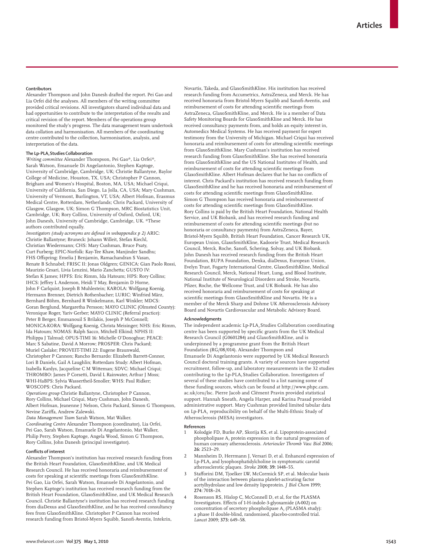### **Contributors**

Alexander Thompson and John Danesh drafted the report. Pei Gao and Lia Orfei did the analyses. All members of the writing committee provided critical revisions. All investigators shared individual data and had opportunities to contribute to the interpretation of the results and critical revision of the report. Members of the operations group monitored the study's progress. The data management team undertook data collation and harmonisation. All members of the coordinating centre contributed to the collection, harmonisation, analysis, and interpretation of the data.

#### The Lp-PLA<sub>2</sub> Studies Collaboration

*Writing committee* Alexander Thompson, Pei Gao\*, Lia Orfei\*, Sarah Watson, Emanuele Di Angelantonio, Stephen Kaptoge, University of Cambridge, Cambridge, UK; Christie Ballantyne, Baylor College of Medicine, Houston, TX, USA; Christopher P Cannon, Brigham and Women's Hospital, Boston, MA, USA; Michael Criqui, University of California, San Diego, La Jolla, CA, USA; Mary Cushman, University of Vermont, Burlington, VT, USA; Albert Hofman, Erasmus Medical Centre, Rotterdam, Netherlands; Chris Packard, University of Glasgow, Glasgow, UK; Simon G Thompson, MRC Biostatistics Unit, Cambridge, UK; Rory Collins, University of Oxford, Oxford, UK; John Danesh, University of Cambridge, Cambridge, UK. \*These authors contributed equally.

*Investigators (study acronyms are defined in webappendix p 2)* ARIC: Christie Ballantyne; Bruneck: Johann Willeit, Stefan Kiechl, Christian Wiedermann; CHS: Mary Cushman, Bruce Psaty, Curt Furberg; EPIC-Norfolk: Kay-Tee Khaw, Manjinder Sandhu; FHS Offspring: Emelia J Benjamin, Ramachandran S Vasan, Renate B Schnabel; FRISC II: Jonas Oldgren; GENICA: Gian Paolo Rossi, Maurizio Cesari, Livia Lenzini, Mario Zanchetta; GUSTO IV: Stefan K James; HPFS: Eric Rimm, Ida Hatoum; HPS: Rory Collins; IHCS: Jeffrey L Anderson, Heidi T May, Benjamin D Horne, John F Carlquist, Joseph B Muhlestein; KAROLA: Wolfgang Koenig, Hermann Brenner, Dietrich Rothenbacher; LURIC: Winfried März, Bernhard Böhm, Bernhard R Winkelmann, Karl Winkler; MDCS: Goran Berglund, Margaretha Persson; MAYO CLINIC (Olmsted County): Veronique Roger, Yariv Gerber; MAYO CLINIC (Referral practice): Peter B Berger, Emmanouil S Brilakis, Joseph P McConnell; MONICA-KORA: Wolfgang Koenig, Christa Meisinger; NHS: Eric Rimm, Ida Hatoum; NOMAS: Ralph Sacco, Mitchell Elkind; NPHS II: Philippa J Talmud; OPUS-TIMI 16: Michelle O'Donoghue; PEACE: Marc S Sabatine, David A Morrow; PROSPER: Chris Packard; Muriel Caslake; PROVEIT-TIMI 22: Eugene Braunwald, Christopher P Cannon; Rancho Bernardo: Elizabeth Barrett-Connor, Lori B Daniels, Gail A Laughlin; Rotterdam Study: Albert Hofman, Isabella Kardys, Jacqueline C M Witteman; SDVC: Michael Criqui; THROMBO: James P Corsetti, David L Rainwater, Arthur J Moss; WHI-HaBPS: Sylvia Wassertheil-Smoller; WHS: Paul Ridker; WOSCOPS: Chris Packard.

*Operations group* Christie Ballantyne, Christopher P Cannon, Rory Collins, Michael Criqui, Mary Cushman, John Danesh, Albert Hofman, Jeanenne J Nelson, Chris Packard, Simon G Thompson, Nevine Zariffa, Andrew Zalewski.

*Data Management Team* Sarah Watson, Mat Walker. *Coordinating Centre* Alexander Thompson (coordinator), Lia Orfei, Pei Gao, Sarah Watson, Emanuele Di Angelantonio, Mat Walker, Philip Perry, Stephen Kaptoge, Angela Wood, Simon G Thompson, Rory Collins, John Danesh (principal investigator).

## **Confl icts of interest**

Alexander Thompson's institution has received research funding from the British Heart Foundation, GlaxoSmithKline, and UK Medical Research Council. He has received honoraria and reimbursement of costs for speaking at scientific meetings from GlaxoSmithKline. Pei Gao, Lia Orfei, Sarah Watson, Emanuele Di Angelantonio, and Stephen Kaptoge's institution has received research funding from the British Heart Foundation, GlaxoSmithKline, and UK Medical Research Council. Christie Ballantyne's institution has received research funding from diaDexus and GlaxoSmithKline, and he has received consultancy fees from GlaxoSmithKline. Christopher P Cannon has received research funding from Bristol-Myers Squibb, Sanofi -Aventis, Intekrin,

Novartis, Takeda, and GlaxoSmithKline. His institution has received research funding from Accumetrics, AstraZeneca, and Merck. He has received honoraria from Bristol-Myers Squibb and Sanofi -Aventis, and reimbursement of costs for attending scientific meetings from AstraZeneca, GlaxoSmithKline, and Merck. He is a member of Data Safety Monitoring Boards for GlaxoSmithKline and Merck. He has received consultancy payments from, and holds an equity interest in, Automedics Medical Systems. He has received payment for expert testimony from the University of Michigan. Michael Criqui has received honoraria and reimbursement of costs for attending scientific meetings from GlaxoSmithKline. Mary Cushman's institution has received research funding from GlaxoSmithKline. She has received honoraria from GlaxoSmithKline and the US National Institutes of Health, and reimbursement of costs for attending scientific meetings from GlaxoSmithKline. Albert Hofman declares that he has no conflicts of interest. Chris Packard's institution has received research funding from GlaxoSmithKline and he has received honoraria and reimbursement of costs for attending scientific meetings from GlaxoSmithKline. Simon G Thompson has received honoraria and reimbursement of costs for attending scientific meetings from GlaxoSmithKline. Rory Collins is paid by the British Heart Foundation, National Health Service, and UK Biobank, and has received research funding and reimbursement of costs for attending scientific meetings (but no honoraria or consultancy payments) from AstraZeneca, Bayer, Bristol-Myers Squibb, British Heart Foundation, Cancer Research UK, European Union, GlaxoSmithKline, Kadoorie Trust, Medical Research Council, Merck, Roche, Sanofi, Schering, Solvay, and UK Biobank. John Danesh has received research funding from the British Heart Foundation, BUPA Foundation, Denka, diaDexus, European Union, Evelyn Trust, Fogarty International Centre, GlaxoSmithKline, Medical Research Council, Merck, National Heart, Lung, and Blood Institute, National Institute of Neurological Disorders and Stroke, Novartis, Pfizer, Roche, the Wellcome Trust, and UK Biobank. He has also received honoraria and reimbursement of costs for speaking at scientific meetings from GlaxoSmithKline and Novartis. He is a member of the Merck Sharp and Dohme UK Atherosclerosis Advisory Board and Novartis Cardiovascular and Metabolic Advisory Board.

#### **Acknowledgments**

The independent academic Lp-PLA, Studies Collaboration coordinating centre has been supported by specific grants from the UK Medical Research Council (G0601284) and GlaxoSmithKline, and is underpinned by a programme grant from the British Heart Foundation (RG/08/014). Alexander Thompson and Emanuele Di Angelantonio were supported by UK Medical Research Council doctoral training grants. A variety of sources have supported recruitment, follow-up, and laboratory measurements in the 32 studies contributing to the Lp-PLA<sub>2</sub> Studies Collaboration. Investigators of several of these studies have contributed to a list naming some of these funding sources, which can be found at http://www.phpc.cam. ac.uk/ceu/lsc. Pierre Jacob and Clément Pravin provided statistical support. Hannah Sneath, Angela Harper, and Karina Prasad provided administrative support. Mary Cushman provided limited tabular data on Lp-PLA<sub>2</sub> reproducibility on behalf of the Multi-Ethnic Study of Atherosclerosis (MESA) investigators.

#### **References**

- 1 Kolodgie FD, Burke AP, Skorija KS, et al. Lipoprotein-associated phospholipase A2 protein expression in the natural progression of human coronary atherosclerosis. *Arterioscler Thromb Vasc Biol* 2006; **26:** 2523–29.
- 2 Mannheim D, Herrmann J, Versari D, et al. Enhanced expression of Lp-PLA<sub>2</sub> and lysophosphatidylcholine in symptomatic carotid atherosclerotic plaques. *Stroke* 2008; **39:** 1448–55.
- Stafforini DM, Tjoelker LW, McCormick SP, et al. Molecular basis of the interaction between plasma platelet-activating factor acetylhydrolase and low density lipoprotein. *J Biol Chem* 1999; **274:** 7018–24.
- Rosenson RS, Hislop C, McConnell D, et al, for the PLASMA Investigators. Effects of 1-H-indole-3-glyoxamide (A-002) on concentration of secretory phospholipase  $A_2$  (PLASMA study): a phase II double-blind, randomised, placebo-controlled trial. *Lancet* 2009; **373:** 649–58.